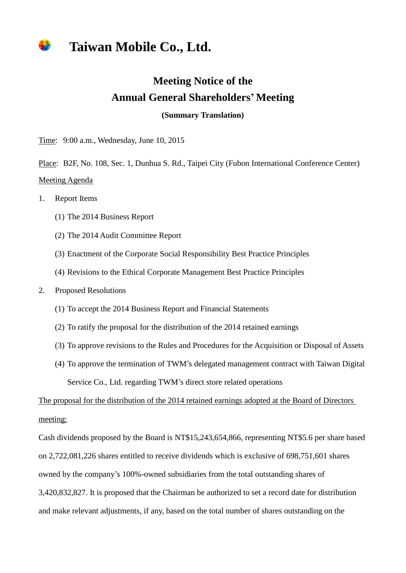## **Taiwan Mobile Co., Ltd.**

## **Meeting Notice of the Annual General Shareholders' Meeting**

**(Summary Translation)**

Time: 9:00 a.m., Wednesday, June 10, 2015

Place: B2F, No. 108, Sec. 1, Dunhua S. Rd., Taipei City (Fubon International Conference Center) Meeting Agenda

- 1. Report Items
	- (1) The 2014 Business Report
	- (2) The 2014 Audit Committee Report
	- (3) Enactment of the Corporate Social Responsibility Best Practice Principles
	- (4) Revisions to the Ethical Corporate Management Best Practice Principles
- 2. Proposed Resolutions
	- (1) To accept the 2014 Business Report and Financial Statements
	- (2) To ratify the proposal for the distribution of the 2014 retained earnings
	- (3) To approve revisions to the Rules and Procedures for the Acquisition or Disposal of Assets
	- (4) To approve the termination of TWM's delegated management contract with Taiwan Digital Service Co., Ltd. regarding TWM's direct store related operations

The proposal for the distribution of the 2014 retained earnings adopted at the Board of Directors meeting:

Cash dividends proposed by the Board is NT\$15,243,654,866, representing NT\$5.6 per share based on 2,722,081,226 shares entitled to receive dividends which is exclusive of 698,751,601 shares owned by the company's 100%-owned subsidiaries from the total outstanding shares of 3,420,832,827. It is proposed that the Chairman be authorized to set a record date for distribution and make relevant adjustments, if any, based on the total number of shares outstanding on the